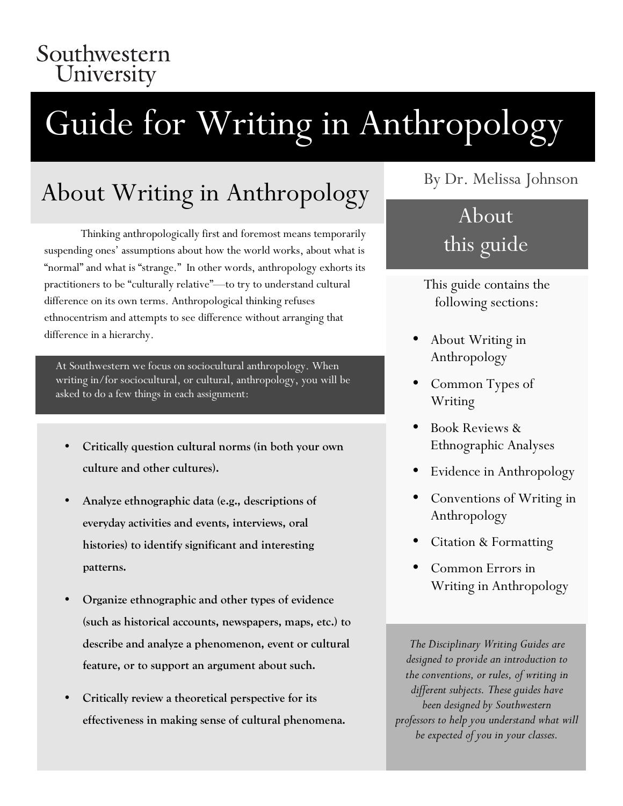### Southwestern University

# Guide for Writing in Anthropology

# About Writing in Anthropology

Thinking anthropologically first and foremost means temporarily suspending ones' assumptions about how the world works, about what is "normal" and what is "strange." In other words, anthropology exhorts its practitioners to be "culturally relative"—to try to understand cultural difference on its own terms. Anthropological thinking refuses ethnocentrism and attempts to see difference without arranging that difference in a hierarchy.

At Southwestern we focus on sociocultural anthropology. When writing in/for sociocultural, or cultural, anthropology, you will be asked to do a few things in each assignment:

- **Critically question cultural norms (in both your own culture and other cultures).**
- **Analyze ethnographic data (e.g., descriptions of everyday activities and events, interviews, oral histories) to identify significant and interesting patterns.**
- **Organize ethnographic and other types of evidence (such as historical accounts, newspapers, maps, etc.) to describe and analyze a phenomenon, event or cultural feature, or to support an argument about such.**
- **Critically review a theoretical perspective for its effectiveness in making sense of cultural phenomena.**

### By Dr. Melissa Johnson

### About this guide

This guide contains the following sections:

- About Writing in Anthropology
- Common Types of Writing
- Book Reviews & Ethnographic Analyses
- Evidence in Anthropology
- Conventions of Writing in Anthropology
- Citation & Formatting
- Common Errors in Writing in Anthropology

*The Disciplinary Writing Guides are designed to provide an introduction to the conventions, or rules, of writing in different subjects. These guides have been designed by Southwestern professors to help you understand what will be expected of you in your classes.*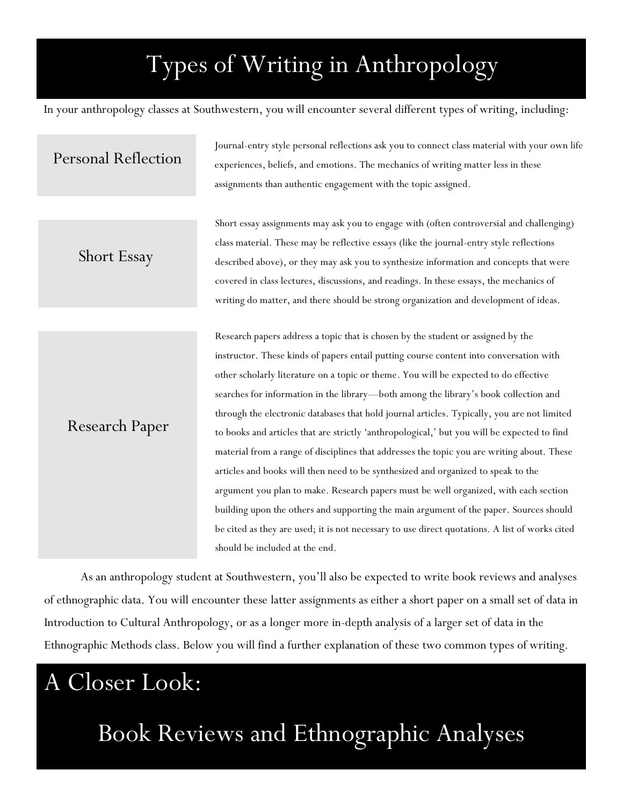# Types of Writing in Anthropology

In your anthropology classes at Southwestern, you will encounter several different types of writing, including:

### Personal Reflection

Journal-entry style personal reflections ask you to connect class material with your own life experiences, beliefs, and emotions. The mechanics of writing matter less in these assignments than authentic engagement with the topic assigned.

Short Essay

Research Paper

Short essay assignments may ask you to engage with (often controversial and challenging) class material. These may be reflective essays (like the journal-entry style reflections described above), or they may ask you to synthesize information and concepts that were covered in class lectures, discussions, and readings. In these essays, the mechanics of writing do matter, and there should be strong organization and development of ideas.

Research papers address a topic that is chosen by the student or assigned by the instructor. These kinds of papers entail putting course content into conversation with other scholarly literature on a topic or theme. You will be expected to do effective searches for information in the library—both among the library's book collection and through the electronic databases that hold journal articles. Typically, you are not limited to books and articles that are strictly 'anthropological,' but you will be expected to find material from a range of disciplines that addresses the topic you are writing about. These articles and books will then need to be synthesized and organized to speak to the argument you plan to make. Research papers must be well organized, with each section building upon the others and supporting the main argument of the paper. Sources should be cited as they are used; it is not necessary to use direct quotations. A list of works cited should be included at the end.

As an anthropology student at Southwestern, you'll also be expected to write book reviews and analyses of ethnographic data. You will encounter these latter assignments as either a short paper on a small set of data in Introduction to Cultural Anthropology, or as a longer more in-depth analysis of a larger set of data in the Ethnographic Methods class. Below you will find a further explanation of these two common types of writing.

# A Closer Look:

Book Reviews and Ethnographic Analyses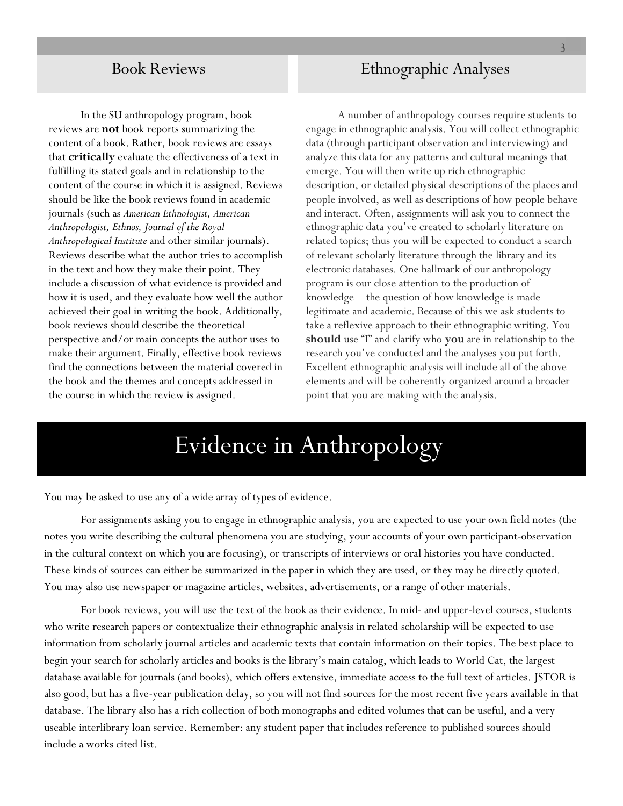### Book Reviews

In the SU anthropology program, book reviews are **not** book reports summarizing the content of a book. Rather, book reviews are essays that **critically** evaluate the effectiveness of a text in fulfilling its stated goals and in relationship to the content of the course in which it is assigned. Reviews should be like the book reviews found in academic journals (such as *American Ethnologist, American Anthropologist, Ethnos, Journal of the Royal Anthropological Institute* and other similar journals). Reviews describe what the author tries to accomplish in the text and how they make their point. They include a discussion of what evidence is provided and how it is used, and they evaluate how well the author achieved their goal in writing the book. Additionally, book reviews should describe the theoretical perspective and/or main concepts the author uses to make their argument. Finally, effective book reviews find the connections between the material covered in the book and the themes and concepts addressed in the course in which the review is assigned.

### Ethnographic Analyses

A number of anthropology courses require students to engage in ethnographic analysis. You will collect ethnographic data (through participant observation and interviewing) and analyze this data for any patterns and cultural meanings that emerge. You will then write up rich ethnographic description, or detailed physical descriptions of the places and people involved, as well as descriptions of how people behave and interact. Often, assignments will ask you to connect the ethnographic data you've created to scholarly literature on related topics; thus you will be expected to conduct a search of relevant scholarly literature through the library and its electronic databases. One hallmark of our anthropology program is our close attention to the production of knowledge—the question of how knowledge is made legitimate and academic. Because of this we ask students to take a reflexive approach to their ethnographic writing. You **should** use "I" and clarify who **you** are in relationship to the research you've conducted and the analyses you put forth. Excellent ethnographic analysis will include all of the above elements and will be coherently organized around a broader point that you are making with the analysis.

### Evidence in Anthropology

You may be asked to use any of a wide array of types of evidence.

For assignments asking you to engage in ethnographic analysis, you are expected to use your own field notes (the notes you write describing the cultural phenomena you are studying, your accounts of your own participant-observation in the cultural context on which you are focusing), or transcripts of interviews or oral histories you have conducted. These kinds of sources can either be summarized in the paper in which they are used, or they may be directly quoted. You may also use newspaper or magazine articles, websites, advertisements, or a range of other materials.

For book reviews, you will use the text of the book as their evidence. In mid- and upper-level courses, students who write research papers or contextualize their ethnographic analysis in related scholarship will be expected to use information from scholarly journal articles and academic texts that contain information on their topics. The best place to begin your search for scholarly articles and books is the library's main catalog, which leads to World Cat, the largest database available for journals (and books), which offers extensive, immediate access to the full text of articles. JSTOR is also good, but has a five-year publication delay, so you will not find sources for the most recent five years available in that database. The library also has a rich collection of both monographs and edited volumes that can be useful, and a very useable interlibrary loan service. Remember: any student paper that includes reference to published sources should include a works cited list.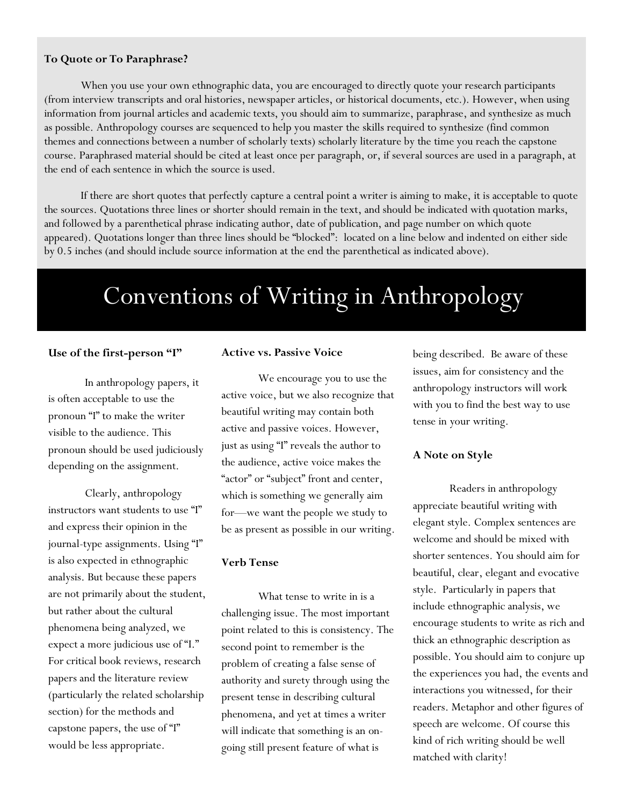#### **To Quote or To Paraphrase?**

When you use your own ethnographic data, you are encouraged to directly quote your research participants (from interview transcripts and oral histories, newspaper articles, or historical documents, etc.). However, when using information from journal articles and academic texts, you should aim to summarize, paraphrase, and synthesize as much as possible. Anthropology courses are sequenced to help you master the skills required to synthesize (find common themes and connections between a number of scholarly texts) scholarly literature by the time you reach the capstone course. Paraphrased material should be cited at least once per paragraph, or, if several sources are used in a paragraph, at the end of each sentence in which the source is used.

If there are short quotes that perfectly capture a central point a writer is aiming to make, it is acceptable to quote the sources. Quotations three lines or shorter should remain in the text, and should be indicated with quotation marks, and followed by a parenthetical phrase indicating author, date of publication, and page number on which quote appeared). Quotations longer than three lines should be "blocked": located on a line below and indented on either side by 0.5 inches (and should include source information at the end the parenthetical as indicated above).

# Conventions of Writing in Anthropology

#### **Use of the first-person "I"**

In anthropology papers, it is often acceptable to use the pronoun "I" to make the writer visible to the audience. This pronoun should be used judiciously depending on the assignment.

Clearly, anthropology instructors want students to use "I" and express their opinion in the journal-type assignments. Using "I" is also expected in ethnographic analysis. But because these papers are not primarily about the student, but rather about the cultural phenomena being analyzed, we expect a more judicious use of "I." For critical book reviews, research papers and the literature review (particularly the related scholarship section) for the methods and capstone papers, the use of "I" would be less appropriate.

#### **Active vs. Passive Voice**

We encourage you to use the active voice, but we also recognize that beautiful writing may contain both active and passive voices. However, just as using "I" reveals the author to the audience, active voice makes the "actor" or "subject" front and center, which is something we generally aim for—we want the people we study to be as present as possible in our writing.

#### **Verb Tense**

What tense to write in is a challenging issue. The most important point related to this is consistency. The second point to remember is the problem of creating a false sense of authority and surety through using the present tense in describing cultural phenomena, and yet at times a writer will indicate that something is an ongoing still present feature of what is

being described. Be aware of these issues, aim for consistency and the anthropology instructors will work with you to find the best way to use tense in your writing.

#### **A Note on Style**

Readers in anthropology appreciate beautiful writing with elegant style. Complex sentences are welcome and should be mixed with shorter sentences. You should aim for beautiful, clear, elegant and evocative style. Particularly in papers that include ethnographic analysis, we encourage students to write as rich and thick an ethnographic description as possible. You should aim to conjure up the experiences you had, the events and interactions you witnessed, for their readers. Metaphor and other figures of speech are welcome. Of course this kind of rich writing should be well matched with clarity!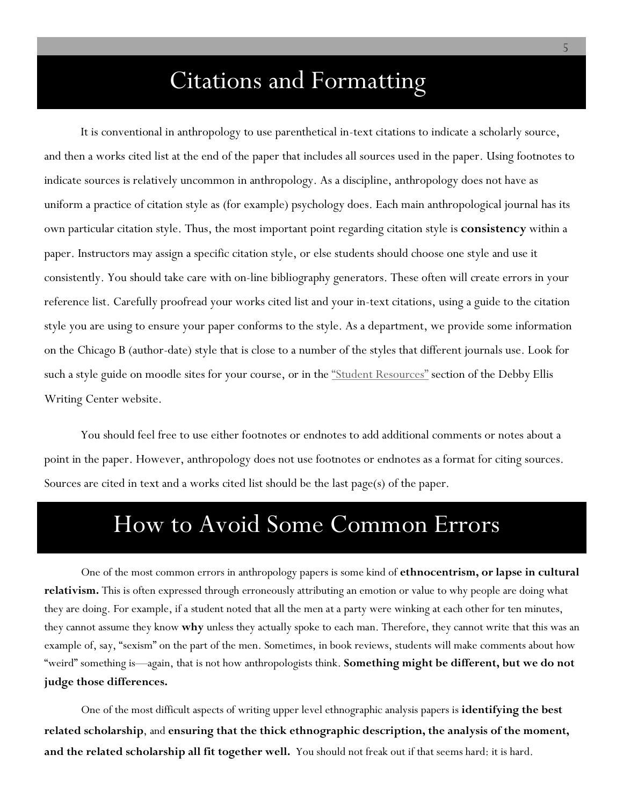## Citations and Formatting

It is conventional in anthropology to use parenthetical in-text citations to indicate a scholarly source, and then a works cited list at the end of the paper that includes all sources used in the paper. Using footnotes to indicate sources is relatively uncommon in anthropology. As a discipline, anthropology does not have as uniform a practice of citation style as (for example) psychology does. Each main anthropological journal has its own particular citation style. Thus, the most important point regarding citation style is **consistency** within a paper. Instructors may assign a specific citation style, or else students should choose one style and use it consistently. You should take care with on-line bibliography generators. These often will create errors in your reference list. Carefully proofread your works cited list and your in-text citations, using a guide to the citation style you are using to ensure your paper conforms to the style. As a department, we provide some information on the Chicago B (author-date) style that is close to a number of the styles that different journals use. Look for such a style guide on moodle sites for your course, or in the "Student Resources" section of the Debby Ellis Writing Center website.

You should feel free to use either footnotes or endnotes to add additional comments or notes about a point in the paper. However, anthropology does not use footnotes or endnotes as a format for citing sources. Sources are cited in text and a works cited list should be the last page(s) of the paper.

### How to Avoid Some Common Errors

One of the most common errors in anthropology papers is some kind of **ethnocentrism, or lapse in cultural relativism.** This is often expressed through erroneously attributing an emotion or value to why people are doing what they are doing. For example, if a student noted that all the men at a party were winking at each other for ten minutes, they cannot assume they know **why** unless they actually spoke to each man. Therefore, they cannot write that this was an example of, say, "sexism" on the part of the men. Sometimes, in book reviews, students will make comments about how "weird" something is—again, that is not how anthropologists think. **Something might be different, but we do not judge those differences.** 

One of the most difficult aspects of writing upper level ethnographic analysis papers is **identifying the best related scholarship**, and **ensuring that the thick ethnographic description, the analysis of the moment, and the related scholarship all fit together well.** You should not freak out if that seems hard: it is hard.